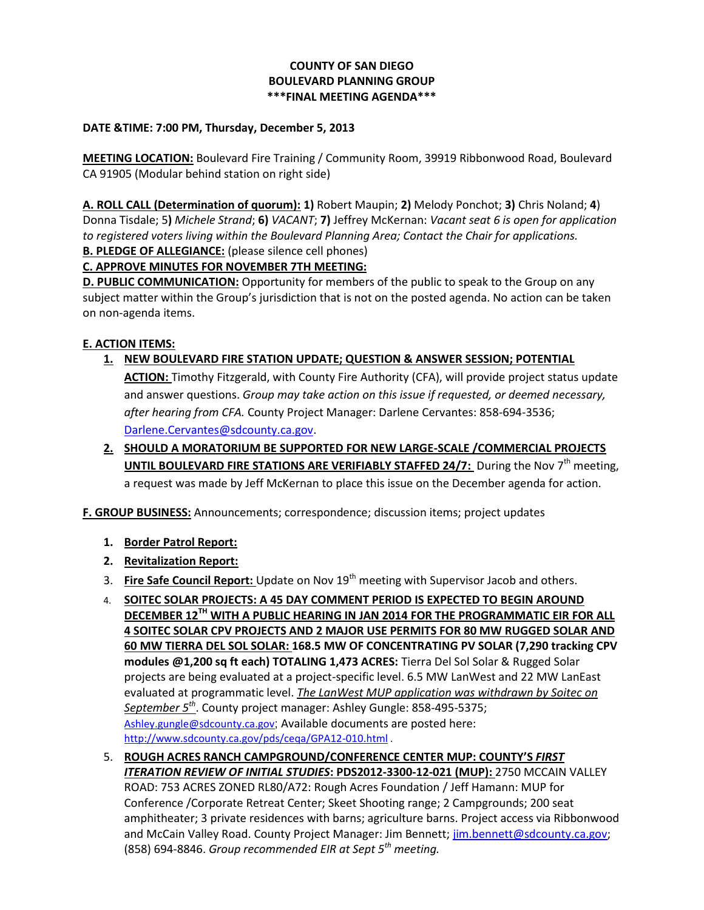## **COUNTY OF SAN DIEGO BOULEVARD PLANNING GROUP \*\*\*FINAL MEETING AGENDA\*\*\***

## **DATE &TIME: 7:00 PM, Thursday, December 5, 2013**

**MEETING LOCATION:** Boulevard Fire Training / Community Room, 39919 Ribbonwood Road, Boulevard CA 91905 (Modular behind station on right side)

**A. ROLL CALL (Determination of quorum): 1)** Robert Maupin; **2)** Melody Ponchot; **3)** Chris Noland; **4**) Donna Tisdale; 5**)** *Michele Strand*; **6)** *VACANT*; **7)** Jeffrey McKernan: *Vacant seat 6 is open for application to registered voters living within the Boulevard Planning Area; Contact the Chair for applications.*  **B. PLEDGE OF ALLEGIANCE:** (please silence cell phones)

## **C. APPROVE MINUTES FOR NOVEMBER 7TH MEETING:**

**D. PUBLIC COMMUNICATION:** Opportunity for members of the public to speak to the Group on any subject matter within the Group's jurisdiction that is not on the posted agenda. No action can be taken on non-agenda items.

## **E. ACTION ITEMS:**

- **1. NEW BOULEVARD FIRE STATION UPDATE; QUESTION & ANSWER SESSION; POTENTIAL ACTION:** Timothy Fitzgerald, with County Fire Authority (CFA), will provide project status update and answer questions. *Group may take action on this issue if requested, or deemed necessary, after hearing from CFA.* County Project Manager: Darlene Cervantes: 858-694-3536; [Darlene.Cervantes@sdcounty.ca.gov.](mailto:Darlene.Cervantes@sdcounty.ca.gov)
- **2. SHOULD A MORATORIUM BE SUPPORTED FOR NEW LARGE-SCALE /COMMERCIAL PROJECTS UNTIL BOULEVARD FIRE STATIONS ARE VERIFIABLY STAFFED 24/7:** During the Nov 7<sup>th</sup> meeting, a request was made by Jeff McKernan to place this issue on the December agenda for action.

**F. GROUP BUSINESS:** Announcements; correspondence; discussion items; project updates

- **1. Border Patrol Report:**
- **2. Revitalization Report:**
- 3. **Fire Safe Council Report:** Update on Nov 19th meeting with Supervisor Jacob and others.
- 4. **SOITEC SOLAR PROJECTS: A 45 DAY COMMENT PERIOD IS EXPECTED TO BEGIN AROUND DECEMBER 12TH WITH A PUBLIC HEARING IN JAN 2014 FOR THE PROGRAMMATIC EIR FOR ALL 4 SOITEC SOLAR CPV PROJECTS AND 2 MAJOR USE PERMITS FOR 80 MW RUGGED SOLAR AND 60 MW TIERRA DEL SOL SOLAR: 168.5 MW OF CONCENTRATING PV SOLAR (7,290 tracking CPV modules @1,200 sq ft each) TOTALING 1,473 ACRES:** Tierra Del Sol Solar & Rugged Solar projects are being evaluated at a project-specific level. 6.5 MW LanWest and 22 MW LanEast evaluated at programmatic level. *The LanWest MUP application was withdrawn by Soitec on September 5th* . County project manager: Ashley Gungle: 858-495-5375; [Ashley.gungle@sdcounty.ca.gov](mailto:Ashley.gungle@sdcounty.ca.gov); Available documents are posted here: <http://www.sdcounty.ca.gov/pds/ceqa/GPA12-010.html> .
- 5. **ROUGH ACRES RANCH CAMPGROUND/CONFERENCE CENTER MUP: COUNTY'S** *FIRST ITERATION REVIEW OF INITIAL STUDIES***: PDS2012-3300-12-021 (MUP):** 2750 MCCAIN VALLEY ROAD: 753 ACRES ZONED RL80/A72: Rough Acres Foundation / Jeff Hamann: MUP for Conference /Corporate Retreat Center; Skeet Shooting range; 2 Campgrounds; 200 seat amphitheater; 3 private residences with barns; agriculture barns. Project access via Ribbonwood and McCain Valley Road. County Project Manager: Jim Bennett[; jim.bennett@sdcounty.ca.gov;](mailto:jim.bennett@sdcounty.ca.gov) (858) 694-8846. *Group recommended EIR at Sept 5th meeting.*